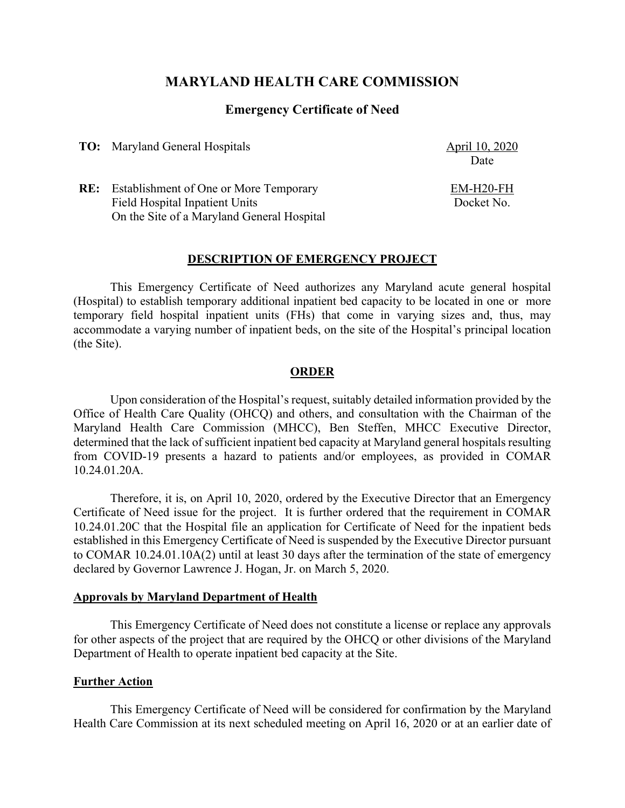# **MARYLAND HEALTH CARE COMMISSION**

## **Emergency Certificate of Need**

**TO:** Maryland General Hospitals April 10, 2020

Date

EM-H20-FH Docket No.

**RE:** Establishment of One or More Temporary Field Hospital Inpatient Units On the Site of a Maryland General Hospital

## **DESCRIPTION OF EMERGENCY PROJECT**

This Emergency Certificate of Need authorizes any Maryland acute general hospital (Hospital) to establish temporary additional inpatient bed capacity to be located in one or more temporary field hospital inpatient units (FHs) that come in varying sizes and, thus, may accommodate a varying number of inpatient beds, on the site of the Hospital's principal location (the Site).

#### **ORDER**

Upon consideration of the Hospital's request, suitably detailed information provided by the Office of Health Care Quality (OHCQ) and others, and consultation with the Chairman of the Maryland Health Care Commission (MHCC), Ben Steffen, MHCC Executive Director, determined that the lack of sufficient inpatient bed capacity at Maryland general hospitals resulting from COVID-19 presents a hazard to patients and/or employees, as provided in COMAR 10.24.01.20A.

Therefore, it is, on April 10, 2020, ordered by the Executive Director that an Emergency Certificate of Need issue for the project. It is further ordered that the requirement in COMAR 10.24.01.20C that the Hospital file an application for Certificate of Need for the inpatient beds established in this Emergency Certificate of Need is suspended by the Executive Director pursuant to COMAR 10.24.01.10A(2) until at least 30 days after the termination of the state of emergency declared by Governor Lawrence J. Hogan, Jr. on March 5, 2020.

### **Approvals by Maryland Department of Health**

This Emergency Certificate of Need does not constitute a license or replace any approvals for other aspects of the project that are required by the OHCQ or other divisions of the Maryland Department of Health to operate inpatient bed capacity at the Site.

#### **Further Action**

This Emergency Certificate of Need will be considered for confirmation by the Maryland Health Care Commission at its next scheduled meeting on April 16, 2020 or at an earlier date of